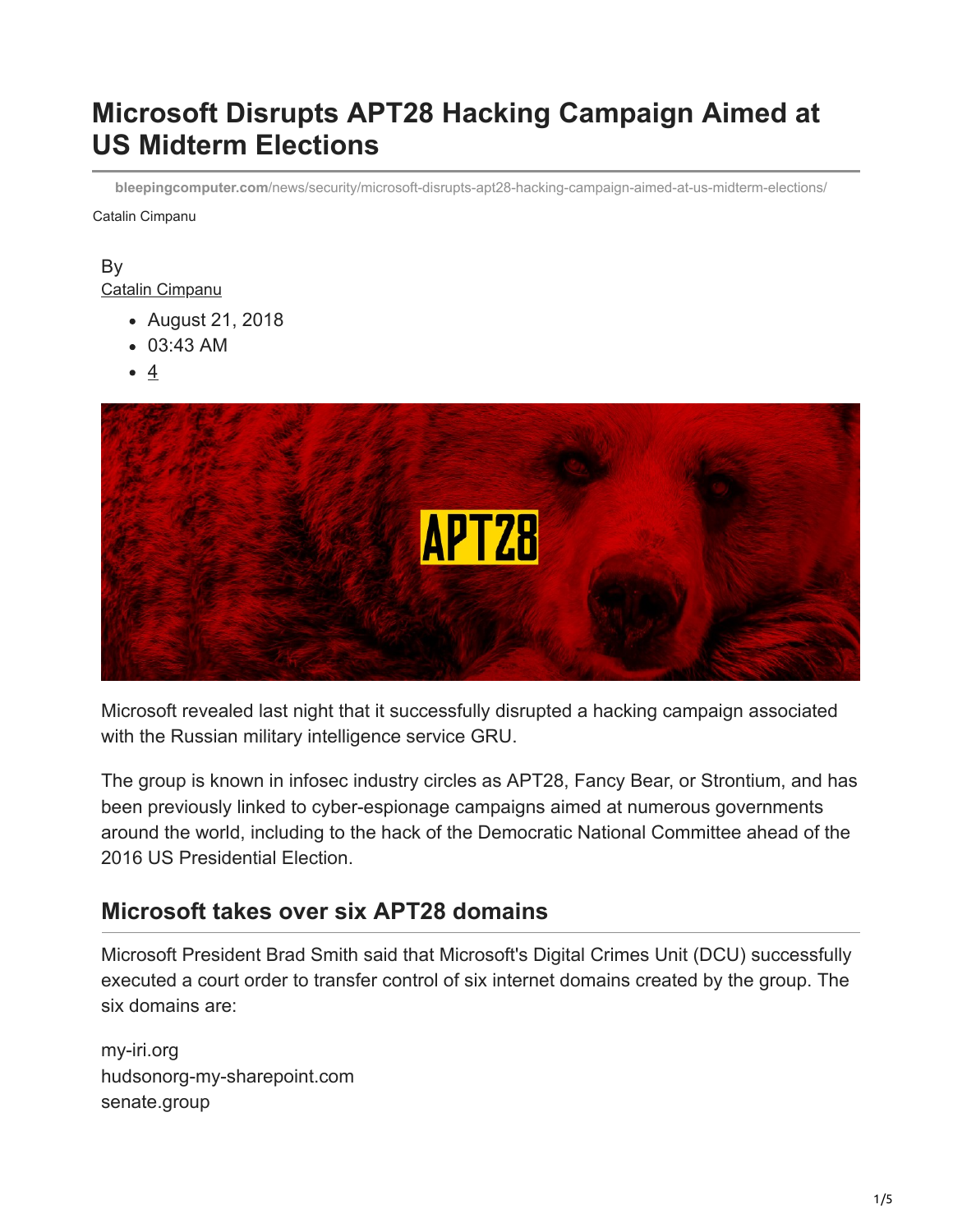# **Microsoft Disrupts APT28 Hacking Campaign Aimed at US Midterm Elections**

**bleepingcomputer.com**[/news/security/microsoft-disrupts-apt28-hacking-campaign-aimed-at-us-midterm-elections/](https://www.bleepingcomputer.com/news/security/microsoft-disrupts-apt28-hacking-campaign-aimed-at-us-midterm-elections/)

Catalin Cimpanu

#### By [Catalin Cimpanu](https://www.bleepingcomputer.com/author/catalin-cimpanu/)

- August 21, 2018
- 03:43 AM
- 4



Microsoft revealed last night that it successfully disrupted a hacking campaign associated with the Russian military intelligence service GRU.

The group is known in infosec industry circles as APT28, Fancy Bear, or Strontium, and has been previously linked to cyber-espionage campaigns aimed at numerous governments around the world, including to the hack of the Democratic National Committee ahead of the 2016 US Presidential Election.

### **Microsoft takes over six APT28 domains**

Microsoft President Brad Smith said that Microsoft's Digital Crimes Unit (DCU) successfully executed a court order to transfer control of six internet domains created by the group. The six domains are:

my-iri.org hudsonorg-my-sharepoint.com senate.group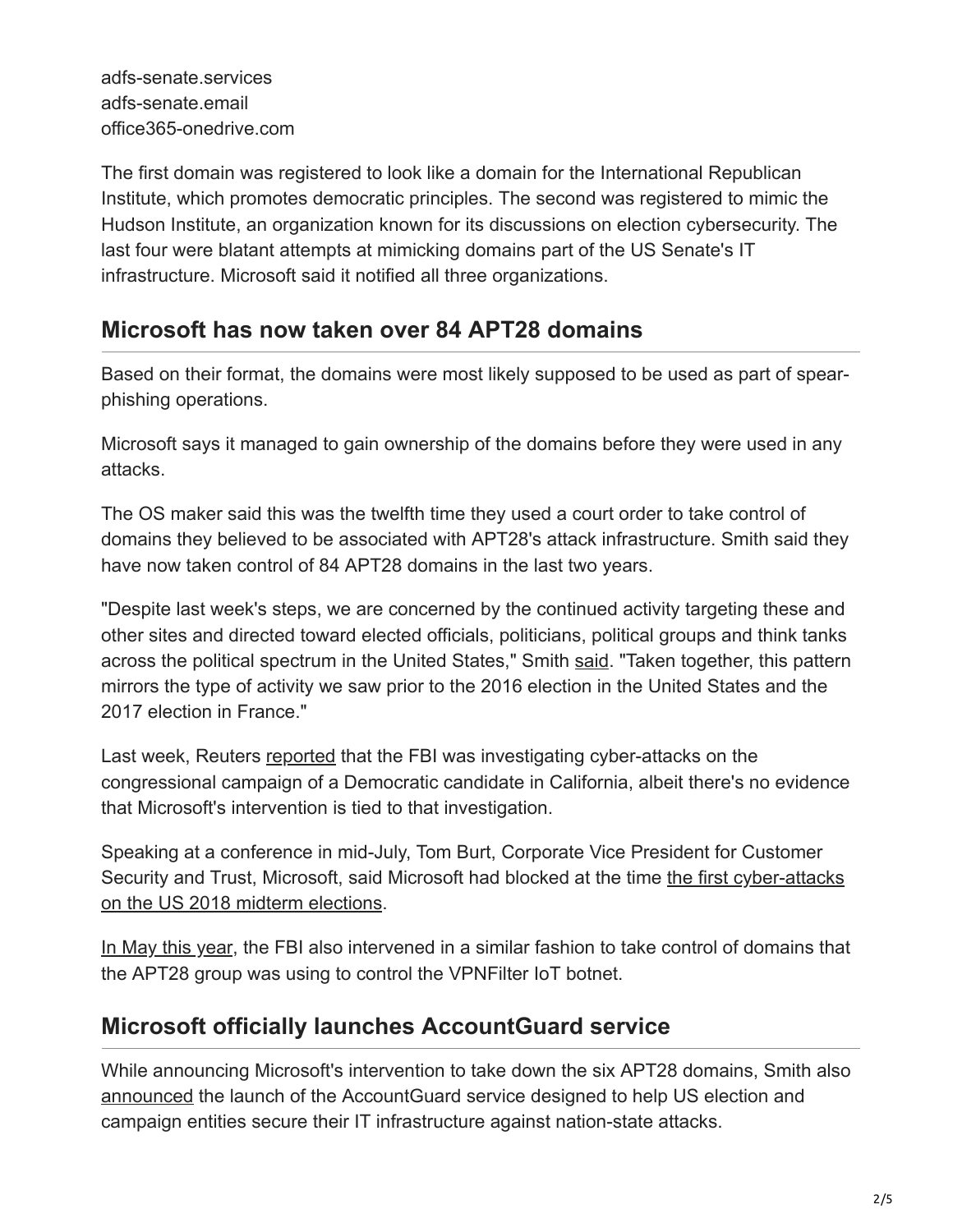The first domain was registered to look like a domain for the International Republican Institute, which promotes democratic principles. The second was registered to mimic the Hudson Institute, an organization known for its discussions on election cybersecurity. The last four were blatant attempts at mimicking domains part of the US Senate's IT infrastructure. Microsoft said it notified all three organizations.

## **Microsoft has now taken over 84 APT28 domains**

Based on their format, the domains were most likely supposed to be used as part of spearphishing operations.

Microsoft says it managed to gain ownership of the domains before they were used in any attacks.

The OS maker said this was the twelfth time they used a court order to take control of domains they believed to be associated with APT28's attack infrastructure. Smith said they have now taken control of 84 APT28 domains in the last two years.

"Despite last week's steps, we are concerned by the continued activity targeting these and other sites and directed toward elected officials, politicians, political groups and think tanks across the political spectrum in the United States," Smith [said.](https://blogs.microsoft.com/on-the-issues/2018/08/20/we-are-taking-new-steps-against-broadening-threats-to-democracy/) "Taken together, this pattern mirrors the type of activity we saw prior to the 2016 election in the United States and the 2017 election in France."

Last week, Reuters [reported](https://www.reuters.com/article/us-usa-election-hacking-exclusive/exclusive-fbi-probing-cyber-attack-on-congressional-campaign-in-california-sources-idUSKBN1L22BZ) that the FBI was investigating cyber-attacks on the congressional campaign of a Democratic candidate in California, albeit there's no evidence that Microsoft's intervention is tied to that investigation.

Speaking at a conference in mid-July, Tom Burt, Corporate Vice President for Customer [Security and Trust, Microsoft, said Microsoft had blocked at the time the first cyber-attacks](https://www.bleepingcomputer.com/news/government/microsoft-says-it-blocked-attempts-at-hacking-midterm-campaigns/) on the US 2018 midterm elections.

[In May this year,](https://www.bleepingcomputer.com/news/security/fbi-takes-control-of-apt28s-vpnfilter-botnet/) the FBI also intervened in a similar fashion to take control of domains that the APT28 group was using to control the VPNFilter IoT botnet.

# **Microsoft officially launches AccountGuard service**

While announcing Microsoft's intervention to take down the six APT28 domains, Smith also [announced](https://blogs.microsoft.com/on-the-issues/2018/08/20/protecting-democracy-with-microsoft-accountguard/) the launch of the AccountGuard service designed to help US election and campaign entities secure their IT infrastructure against nation-state attacks.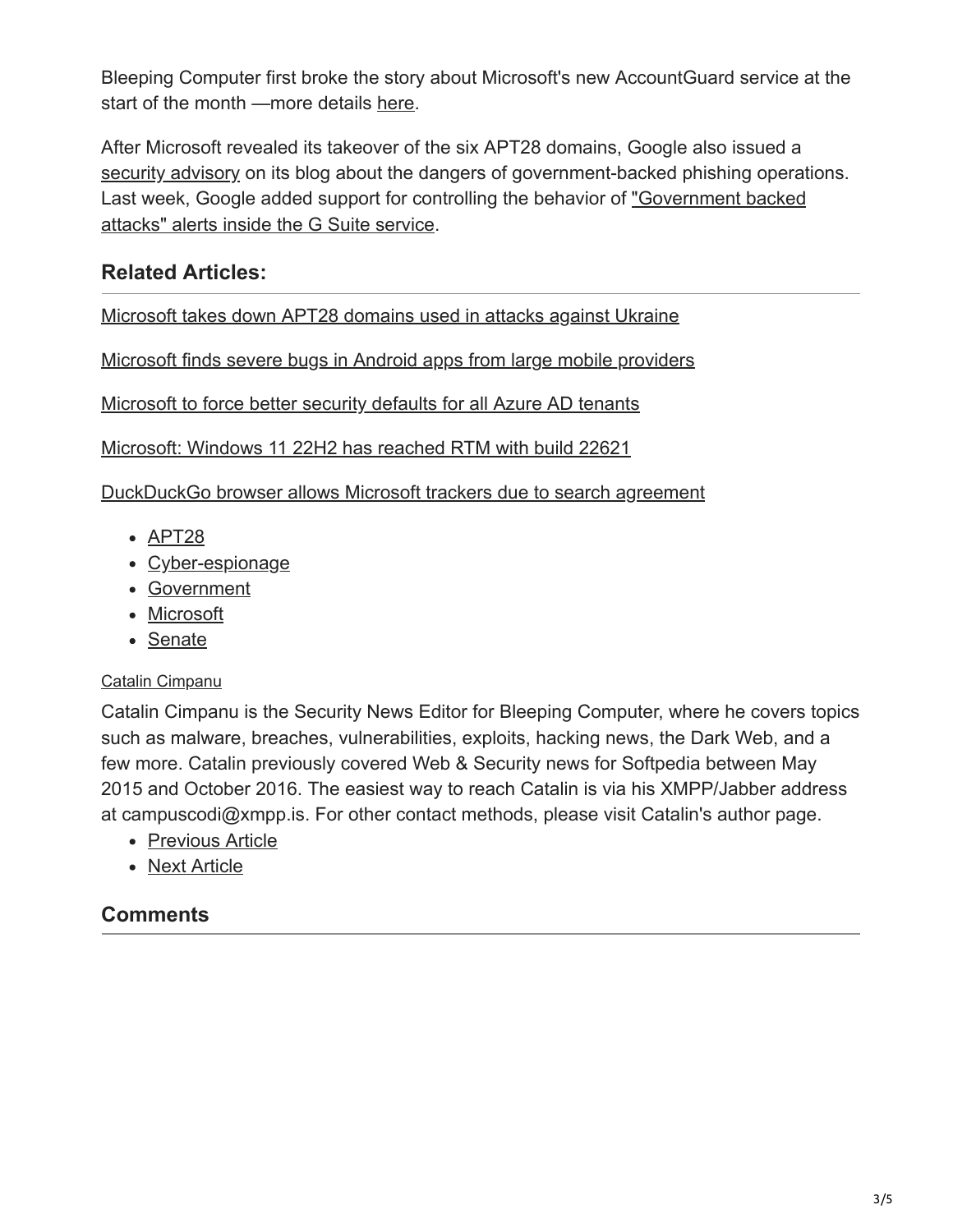Bleeping Computer first broke the story about Microsoft's new AccountGuard service at the start of the month —more details [here](https://www.bleepingcomputer.com/news/microsoft/microsoft-accountguard-service-offers-protection-for-political-and-election-orgs/).

After Microsoft revealed its takeover of the six APT28 domains, Google also issued a [security advisory](https://security.googleblog.com/2018/08/a-reminder-about-government-backed.html) on its blog about the dangers of government-backed phishing operations. [Last week, Google added support for controlling the behavior of "Government backed](https://www.bleepingcomputer.com/news/security/g-suite-can-now-alert-you-of-government-backed-attacks/) attacks" alerts inside the G Suite service.

#### **Related Articles:**

[Microsoft takes down APT28 domains used in attacks against Ukraine](https://www.bleepingcomputer.com/news/microsoft/microsoft-takes-down-apt28-domains-used-in-attacks-against-ukraine/)

[Microsoft finds severe bugs in Android apps from large mobile providers](https://www.bleepingcomputer.com/news/security/microsoft-finds-severe-bugs-in-android-apps-from-large-mobile-providers/)

[Microsoft to force better security defaults for all Azure AD tenants](https://www.bleepingcomputer.com/news/microsoft/microsoft-to-force-better-security-defaults-for-all-azure-ad-tenants/)

[Microsoft: Windows 11 22H2 has reached RTM with build 22621](https://www.bleepingcomputer.com/news/microsoft/microsoft-windows-11-22h2-has-reached-rtm-with-build-22621/)

[DuckDuckGo browser allows Microsoft trackers due to search agreement](https://www.bleepingcomputer.com/news/security/duckduckgo-browser-allows-microsoft-trackers-due-to-search-agreement/)

- [APT28](https://www.bleepingcomputer.com/tag/apt28/)
- [Cyber-espionage](https://www.bleepingcomputer.com/tag/cyber-espionage/)
- [Government](https://www.bleepingcomputer.com/tag/government/)
- [Microsoft](https://www.bleepingcomputer.com/tag/microsoft/)
- [Senate](https://www.bleepingcomputer.com/tag/senate/)

#### [Catalin Cimpanu](https://www.bleepingcomputer.com/author/catalin-cimpanu/)

Catalin Cimpanu is the Security News Editor for Bleeping Computer, where he covers topics such as malware, breaches, vulnerabilities, exploits, hacking news, the Dark Web, and a few more. Catalin previously covered Web & Security news for Softpedia between May 2015 and October 2016. The easiest way to reach Catalin is via his XMPP/Jabber address at campuscodi@xmpp.is. For other contact methods, please visit Catalin's author page.

- [Previous Article](https://www.bleepingcomputer.com/news/google/google-sued-over-misleading-location-tracking-setting/)
- [Next Article](https://www.bleepingcomputer.com/news/security/ryuk-ransomware-crew-makes-640-000-in-recent-activity-surge/)

### **Comments**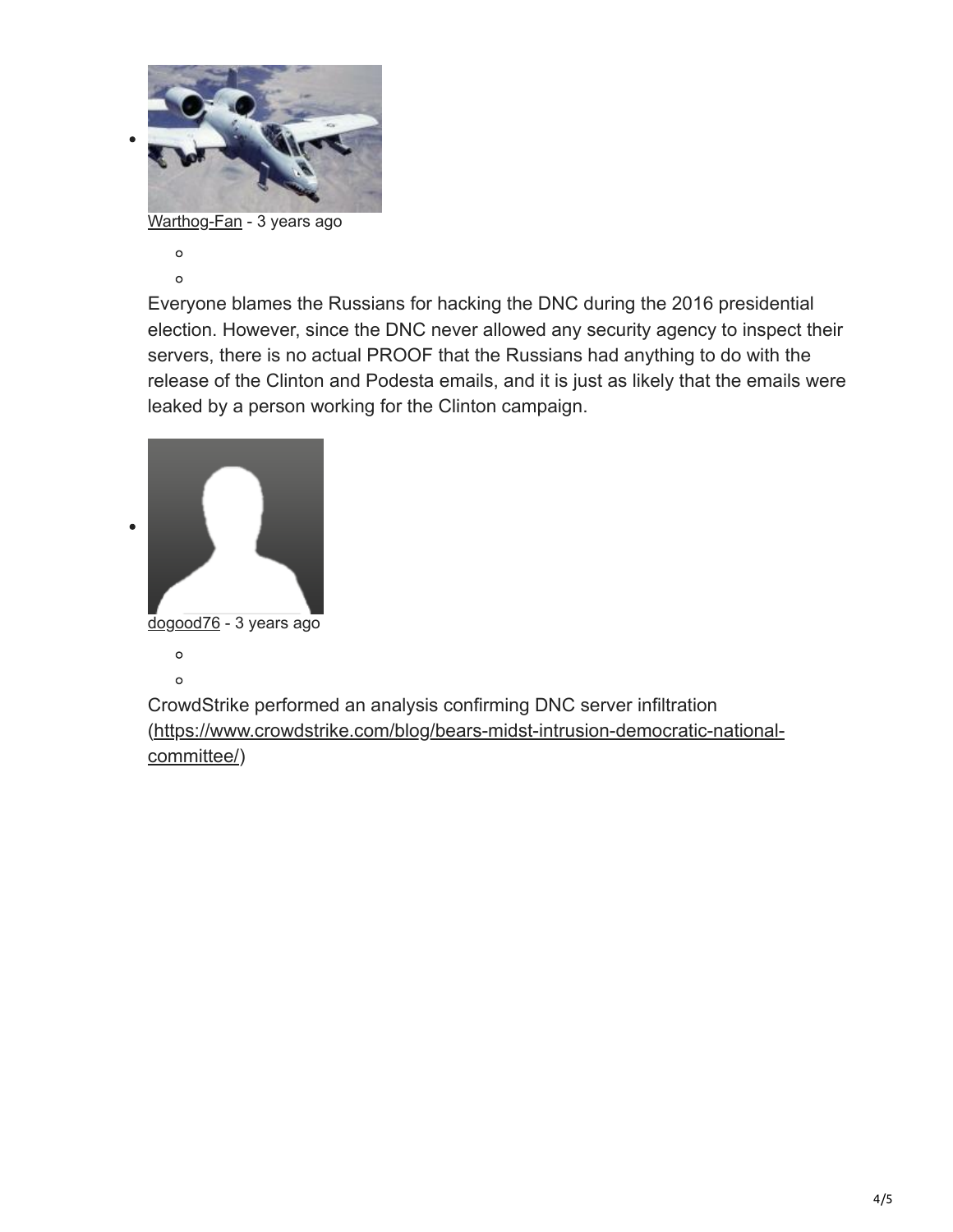

[Warthog-Fan](https://www.bleepingcomputer.com/forums/u/839020/warthog-fan/) - 3 years ago

 $\circ$  $\circ$ 

Everyone blames the Russians for hacking the DNC during the 2016 presidential election. However, since the DNC never allowed any security agency to inspect their servers, there is no actual PROOF that the Russians had anything to do with the release of the Clinton and Podesta emails, and it is just as likely that the emails were leaked by a person working for the Clinton campaign.



CrowdStrike performed an analysis confirming DNC server infiltration [\(https://www.crowdstrike.com/blog/bears-midst-intrusion-democratic-national](https://www.crowdstrike.com/blog/bears-midst-intrusion-democratic-national-committee/)committee/)